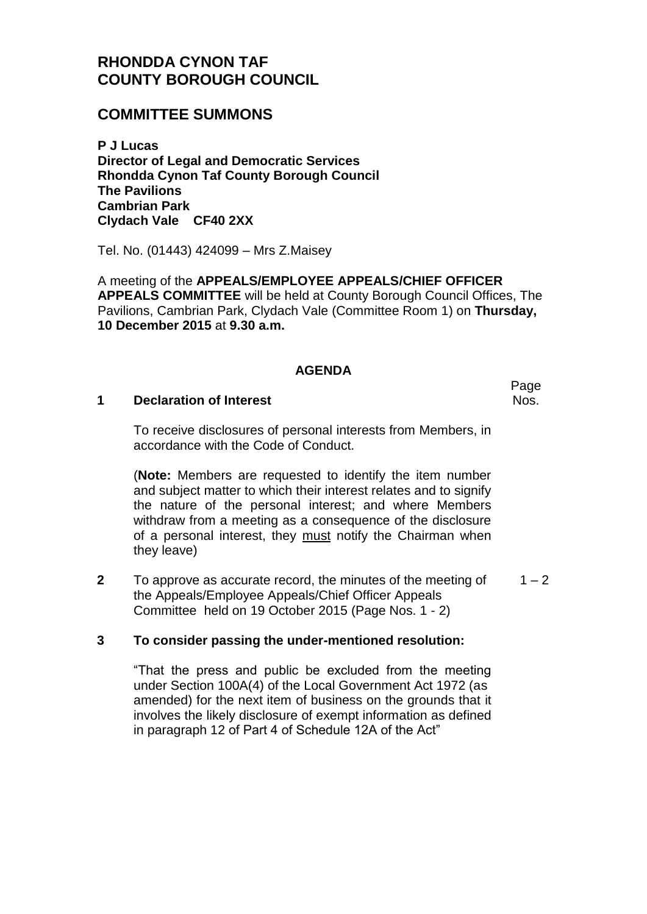# **RHONDDA CYNON TAF COUNTY BOROUGH COUNCIL**

# **COMMITTEE SUMMONS**

**P J Lucas Director of Legal and Democratic Services Rhondda Cynon Taf County Borough Council The Pavilions Cambrian Park Clydach Vale CF40 2XX**

Tel. No. (01443) 424099 – Mrs Z.Maisey

A meeting of the **APPEALS/EMPLOYEE APPEALS/CHIEF OFFICER APPEALS COMMITTEE** will be held at County Borough Council Offices, The Pavilions, Cambrian Park, Clydach Vale (Committee Room 1) on **Thursday, 10 December 2015** at **9.30 a.m.**

### **AGENDA**

#### **1 Declaration of Interest**

To receive disclosures of personal interests from Members, in accordance with the Code of Conduct.

(**Note:** Members are requested to identify the item number and subject matter to which their interest relates and to signify the nature of the personal interest; and where Members withdraw from a meeting as a consequence of the disclosure of a personal interest, they must notify the Chairman when they leave)

**2** To approve as accurate record, the minutes of the meeting of the Appeals/Employee Appeals/Chief Officer Appeals Committee held on 19 October 2015 (Page Nos. 1 - 2)  $1 - 2$ 

## **3 To consider passing the under-mentioned resolution:**

"That the press and public be excluded from the meeting under Section 100A(4) of the Local Government Act 1972 (as amended) for the next item of business on the grounds that it involves the likely disclosure of exempt information as defined in paragraph 12 of Part 4 of Schedule 12A of the Act"

Page Nos.